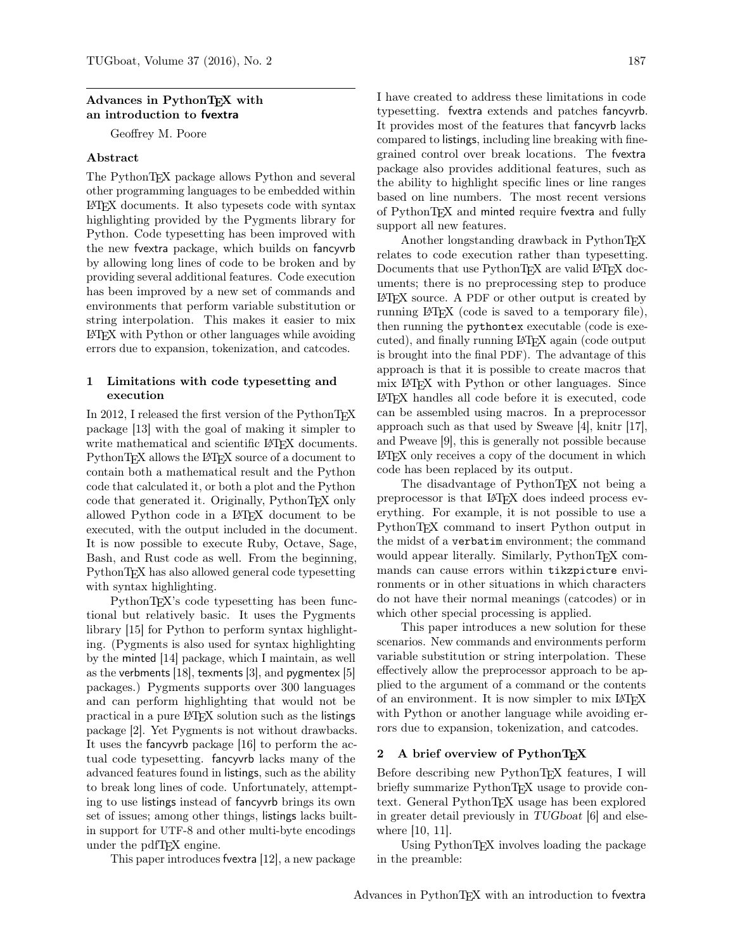## Advances in PythonTFX with an introduction to fvextra

Geoffrey M. Poore

## Abstract

The PythonTEX package allows Python and several other programming languages to be embedded within LATEX documents. It also typesets code with syntax highlighting provided by the Pygments library for Python. Code typesetting has been improved with the new fvextra package, which builds on fancyvrb by allowing long lines of code to be broken and by providing several additional features. Code execution has been improved by a new set of commands and environments that perform variable substitution or string interpolation. This makes it easier to mix LATEX with Python or other languages while avoiding errors due to expansion, tokenization, and catcodes.

## 1 Limitations with code typesetting and execution

In 2012, I released the first version of the PythonTEX package [\[13\]](#page-5-0) with the goal of making it simpler to write mathematical and scientific LAT<sub>EX</sub> documents. PythonTEX allows the LATEX source of a document to contain both a mathematical result and the Python code that calculated it, or both a plot and the Python code that generated it. Originally, PythonTEX only allowed Python code in a LATEX document to be executed, with the output included in the document. It is now possible to execute Ruby, Octave, Sage, Bash, and Rust code as well. From the beginning, PythonTEX has also allowed general code typesetting with syntax highlighting.

PythonT<sub>EX</sub>'s code typesetting has been functional but relatively basic. It uses the Pygments library [\[15\]](#page-5-1) for Python to perform syntax highlighting. (Pygments is also used for syntax highlighting by the minted [\[14\]](#page-5-2) package, which I maintain, as well as the verbments [\[18\]](#page-5-3), texments [\[3\]](#page-5-4), and pygmentex [\[5\]](#page-5-5) packages.) Pygments supports over 300 languages and can perform highlighting that would not be practical in a pure LATEX solution such as the listings package [\[2\]](#page-5-6). Yet Pygments is not without drawbacks. It uses the fancyvrb package [\[16\]](#page-5-7) to perform the actual code typesetting. fancyvrb lacks many of the advanced features found in listings, such as the ability to break long lines of code. Unfortunately, attempting to use listings instead of fancyvrb brings its own set of issues; among other things, listings lacks builtin support for UTF-8 and other multi-byte encodings under the pdfT<sub>F</sub>X engine.

This paper introduces fvextra [\[12\]](#page-5-8), a new package

I have created to address these limitations in code typesetting. fvextra extends and patches fancyvrb. It provides most of the features that fancyvrb lacks compared to listings, including line breaking with finegrained control over break locations. The fvextra package also provides additional features, such as the ability to highlight specific lines or line ranges based on line numbers. The most recent versions of PythonTEX and minted require fvextra and fully support all new features.

Another longstanding drawback in PythonTFX relates to code execution rather than typesetting. Documents that use PythonTEX are valid LATEX documents; there is no preprocessing step to produce LATEX source. A PDF or other output is created by running LATEX (code is saved to a temporary file), then running the pythontex executable (code is executed), and finally running LATEX again (code output is brought into the final PDF). The advantage of this approach is that it is possible to create macros that mix LATEX with Python or other languages. Since LATEX handles all code before it is executed, code can be assembled using macros. In a preprocessor approach such as that used by Sweave [\[4\]](#page-5-9), knitr [\[17\]](#page-5-10), and Pweave [\[9\]](#page-5-11), this is generally not possible because LATEX only receives a copy of the document in which code has been replaced by its output.

The disadvantage of PythonT<sub>EX</sub> not being a preprocessor is that LATEX does indeed process everything. For example, it is not possible to use a PythonTEX command to insert Python output in the midst of a verbatim environment; the command would appear literally. Similarly, PythonT<sub>EX</sub> commands can cause errors within tikzpicture environments or in other situations in which characters do not have their normal meanings (catcodes) or in which other special processing is applied.

This paper introduces a new solution for these scenarios. New commands and environments perform variable substitution or string interpolation. These effectively allow the preprocessor approach to be applied to the argument of a command or the contents of an environment. It is now simpler to mix LAT<sub>EX</sub> with Python or another language while avoiding errors due to expansion, tokenization, and catcodes.

#### 2 A brief overview of PythonTFX

Before describing new PythonTEX features, I will briefly summarize PythonT<sub>EX</sub> usage to provide context. General PythonTEX usage has been explored in greater detail previously in TUGboat [\[6\]](#page-5-12) and elsewhere [\[10,](#page-5-13) [11\]](#page-5-14).

Using PythonT<sub>EX</sub> involves loading the package in the preamble: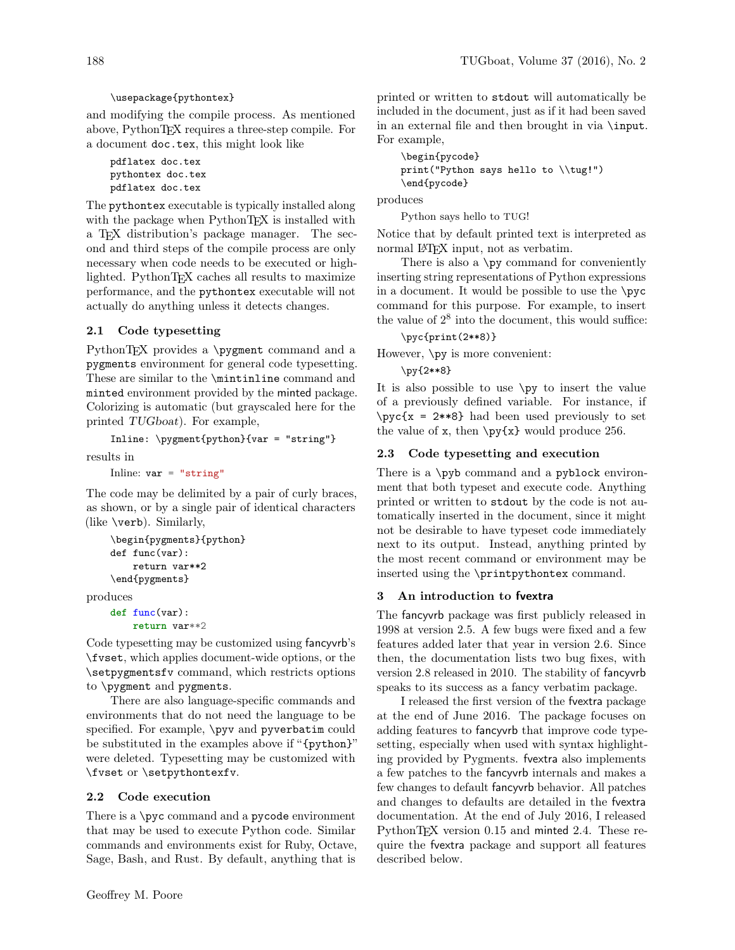## \usepackage{pythontex}

and modifying the compile process. As mentioned above, PythonTEX requires a three-step compile. For a document doc.tex, this might look like

```
pdflatex doc.tex
pythontex doc.tex
pdflatex doc.tex
```
The pythontex executable is typically installed along with the package when PythonT<sub>F</sub>X is installed with a TEX distribution's package manager. The second and third steps of the compile process are only necessary when code needs to be executed or highlighted. PythonTEX caches all results to maximize performance, and the pythontex executable will not actually do anything unless it detects changes.

# 2.1 Code typesetting

PythonTEX provides a \pygment command and a pygments environment for general code typesetting. These are similar to the \mintinline command and minted environment provided by the minted package. Colorizing is automatic (but grayscaled here for the printed TUGboat). For example,

Inline: \pygment{python}{var = "string"}

results in

Inline:  $var = "string"$ 

The code may be delimited by a pair of curly braces, as shown, or by a single pair of identical characters (like \verb). Similarly,

```
\begin{pygments}{python}
def func(var):
    return var**2
\end{pygments}
```
produces

```
def func(var):
    return var**2
```
Code typesetting may be customized using fancyvrb's \fvset, which applies document-wide options, or the \setpygmentsfv command, which restricts options to \pygment and pygments.

There are also language-specific commands and environments that do not need the language to be specified. For example, \pyv and pyverbatim could be substituted in the examples above if "{python}" were deleted. Typesetting may be customized with \fvset or \setpythontexfv.

## 2.2 Code execution

There is a \pyc command and a pycode environment that may be used to execute Python code. Similar commands and environments exist for Ruby, Octave, Sage, Bash, and Rust. By default, anything that is

\begin{pycode} print("Python says hello to \\tug!") \end{pycode}

produces

Python says hello to TUG!

Notice that by default printed text is interpreted as normal LAT<sub>EX</sub> input, not as verbatim.

There is also a \py command for conveniently inserting string representations of Python expressions in a document. It would be possible to use the  $\pyc$ command for this purpose. For example, to insert the value of  $2^8$  into the document, this would suffice:

\pyc{print(2\*\*8)}

However, \py is more convenient:

\py{2\*\*8}

It is also possible to use \py to insert the value of a previously defined variable. For instance, if  $\pyc{x = 2**8}$  had been used previously to set the value of x, then  $\py{x}$  would produce 256.

## 2.3 Code typesetting and execution

There is a \pyb command and a pyblock environment that both typeset and execute code. Anything printed or written to stdout by the code is not automatically inserted in the document, since it might not be desirable to have typeset code immediately next to its output. Instead, anything printed by the most recent command or environment may be inserted using the \printpythontex command.

## 3 An introduction to fvextra

The fancyvrb package was first publicly released in 1998 at version 2.5. A few bugs were fixed and a few features added later that year in version 2.6. Since then, the documentation lists two bug fixes, with version 2.8 released in 2010. The stability of fancyvrb speaks to its success as a fancy verbatim package.

I released the first version of the fvextra package at the end of June 2016. The package focuses on adding features to fancyvrb that improve code typesetting, especially when used with syntax highlighting provided by Pygments. fvextra also implements a few patches to the fancyvrb internals and makes a few changes to default fancyvrb behavior. All patches and changes to defaults are detailed in the fvextra documentation. At the end of July 2016, I released PythonTEX version 0.15 and minted 2.4. These require the fvextra package and support all features described below.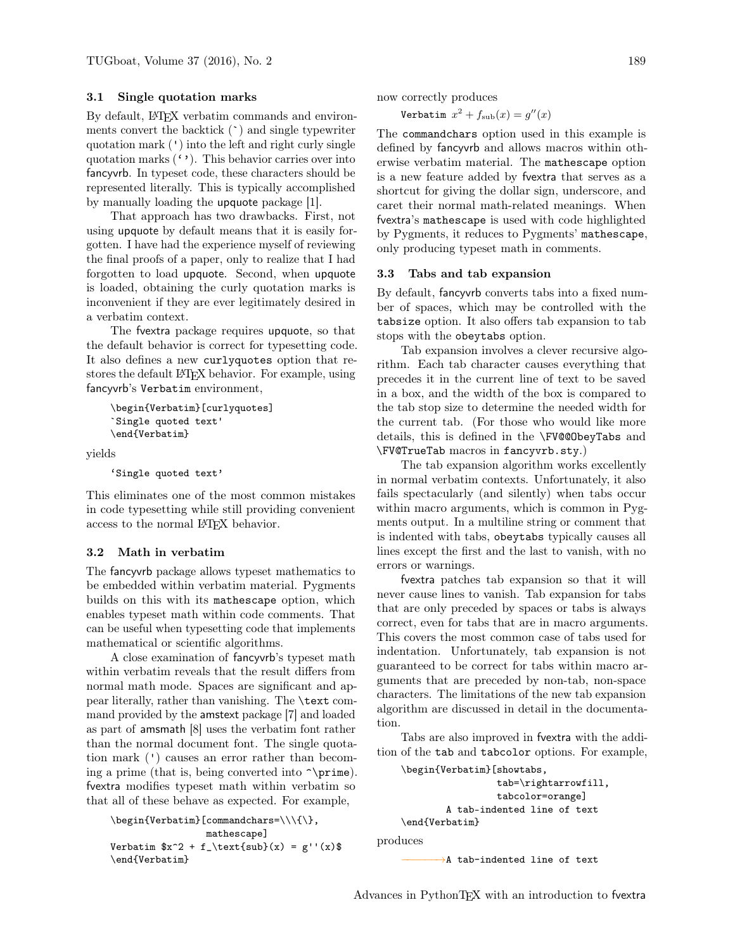## 3.1 Single quotation marks

By default, LAT<sub>EX</sub> verbatim commands and environments convert the backtick (`) and single typewriter quotation mark (') into the left and right curly single quotation marks  $($ ,  $\cdot$ ). This behavior carries over into fancyvrb. In typeset code, these characters should be represented literally. This is typically accomplished by manually loading the upquote package [\[1\]](#page-5-15).

That approach has two drawbacks. First, not using upquote by default means that it is easily forgotten. I have had the experience myself of reviewing the final proofs of a paper, only to realize that I had forgotten to load upquote. Second, when upquote is loaded, obtaining the curly quotation marks is inconvenient if they are ever legitimately desired in a verbatim context.

The fvextra package requires upquote, so that the default behavior is correct for typesetting code. It also defines a new curlyquotes option that restores the default LATEX behavior. For example, using fancyvrb's Verbatim environment,

```
\begin{Verbatim}[curlyquotes]
`Single quoted text'
\end{Verbatim}
```
yields

```
'Single quoted text'
```
This eliminates one of the most common mistakes in code typesetting while still providing convenient access to the normal LATEX behavior.

#### 3.2 Math in verbatim

The fancyvrb package allows typeset mathematics to be embedded within verbatim material. Pygments builds on this with its mathescape option, which enables typeset math within code comments. That can be useful when typesetting code that implements mathematical or scientific algorithms.

A close examination of fancyvrb's typeset math within verbatim reveals that the result differs from normal math mode. Spaces are significant and appear literally, rather than vanishing. The \text command provided by the amstext package [\[7\]](#page-5-16) and loaded as part of amsmath [\[8\]](#page-5-17) uses the verbatim font rather than the normal document font. The single quotation mark (') causes an error rather than becoming a prime (that is, being converted into  $\prime$ ). fvextra modifies typeset math within verbatim so that all of these behave as expected. For example,

```
\verb|\begin{Vert}[\verb|commandchars=\\\\\\\\\\\\\\ \end{Vert},mathescape]
Verbatim x^2 + f_\text{sub}(x) = g''(x)\end{Verbatim}
```
now correctly produces

Verbatim  $x^2 + f_{\text{sub}}(x) = g''(x)$ 

The commandchars option used in this example is defined by fancyvrb and allows macros within otherwise verbatim material. The mathescape option is a new feature added by fvextra that serves as a shortcut for giving the dollar sign, underscore, and caret their normal math-related meanings. When fvextra's mathescape is used with code highlighted by Pygments, it reduces to Pygments' mathescape, only producing typeset math in comments.

#### 3.3 Tabs and tab expansion

By default, fancyvrb converts tabs into a fixed number of spaces, which may be controlled with the tabsize option. It also offers tab expansion to tab stops with the obeytabs option.

Tab expansion involves a clever recursive algorithm. Each tab character causes everything that precedes it in the current line of text to be saved in a box, and the width of the box is compared to the tab stop size to determine the needed width for the current tab. (For those who would like more details, this is defined in the \FV@@ObeyTabs and \FV@TrueTab macros in fancyvrb.sty.)

The tab expansion algorithm works excellently in normal verbatim contexts. Unfortunately, it also fails spectacularly (and silently) when tabs occur within macro arguments, which is common in Pygments output. In a multiline string or comment that is indented with tabs, obeytabs typically causes all lines except the first and the last to vanish, with no errors or warnings.

fvextra patches tab expansion so that it will never cause lines to vanish. Tab expansion for tabs that are only preceded by spaces or tabs is always correct, even for tabs that are in macro arguments. This covers the most common case of tabs used for indentation. Unfortunately, tab expansion is not guaranteed to be correct for tabs within macro arguments that are preceded by non-tab, non-space characters. The limitations of the new tab expansion algorithm are discussed in detail in the documentation.

Tabs are also improved in fvextra with the addition of the tab and tabcolor options. For example,

```
\begin{Verbatim}[showtabs,
                 tab=\rightarrowfill,
                 tabcolor=orange]
        A tab-indented line of text
\end{Verbatim}
```
produces

→A tab-indented line of text

Advances in PythonTEX with an introduction to fvextra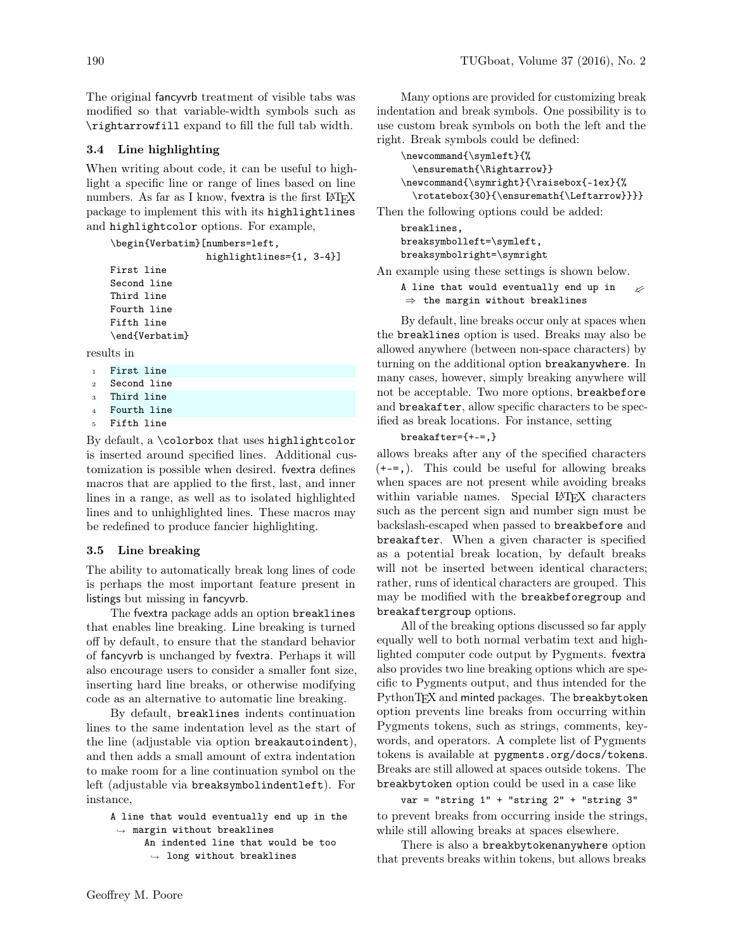The original fancyvrb treatment of visible tabs was modified so that variable-width symbols such as \rightarrowfill expand to fill the full tab width.

### 3.4 Line highlighting

When writing about code, it can be useful to highlight a specific line or range of lines based on line numbers. As far as I know, fvextra is the first IATEX package to implement this with its highlightlines and highlightcolor options. For example,

\begin{Verbatim}[numbers=left,

highlightlines={1, 3-4}]

First line Second line Third line Fourth line Fifth line \end{Verbatim}

results in

- <sup>1</sup> First line
- <sup>2</sup> Second line
- <sup>3</sup> Third line <sup>4</sup> Fourth line
- Fifth line
- 

By default, a \colorbox that uses highlightcolor is inserted around specified lines. Additional customization is possible when desired. fvextra defines macros that are applied to the first, last, and inner lines in a range, as well as to isolated highlighted lines and to unhighlighted lines. These macros may be redefined to produce fancier highlighting.

#### 3.5 Line breaking

The ability to automatically break long lines of code is perhaps the most important feature present in listings but missing in fancyvrb.

The fvextra package adds an option breaklines that enables line breaking. Line breaking is turned off by default, to ensure that the standard behavior of fancyvrb is unchanged by fvextra. Perhaps it will also encourage users to consider a smaller font size, inserting hard line breaks, or otherwise modifying code as an alternative to automatic line breaking.

By default, breaklines indents continuation lines to the same indentation level as the start of the line (adjustable via option breakautoindent), and then adds a small amount of extra indentation to make room for a line continuation symbol on the left (adjustable via breaksymbolindentleft). For instance,

```
A line that would eventually end up in the
,→ margin without breaklines
      An indented line that would be too
```

```
,→ long without breaklines
```
Many options are provided for customizing break indentation and break symbols. One possibility is to use custom break symbols on both the left and the right. Break symbols could be defined:

```
\newcommand{\symleft}{%
 \ensuremath{\Rightarrow}}
\newcommand{\symright}{\raisebox{-1ex}{%
 \rotatebox{30}{\ensuremath{\Leftarrow}}}}
```
Then the following options could be added:

```
breaklines,
breaksymbolleft=\symleft,
breaksymbolright=\symright
```
An example using these settings is shown below.

A line that would eventually end up in  $\Rightarrow$  the margin without breaklines ⇐

By default, line breaks occur only at spaces when the breaklines option is used. Breaks may also be allowed anywhere (between non-space characters) by turning on the additional option breakanywhere. In many cases, however, simply breaking anywhere will not be acceptable. Two more options, breakbefore and breakafter, allow specific characters to be specified as break locations. For instance, setting

breakafter={+-=,}

allows breaks after any of the specified characters (+-=,). This could be useful for allowing breaks when spaces are not present while avoiding breaks within variable names. Special L<sup>AT</sup>FX characters such as the percent sign and number sign must be backslash-escaped when passed to breakbefore and breakafter. When a given character is specified as a potential break location, by default breaks will not be inserted between identical characters; rather, runs of identical characters are grouped. This may be modified with the breakbeforegroup and breakaftergroup options.

All of the breaking options discussed so far apply equally well to both normal verbatim text and highlighted computer code output by Pygments. fvextra also provides two line breaking options which are specific to Pygments output, and thus intended for the PythonTEX and minted packages. The breakbytoken option prevents line breaks from occurring within Pygments tokens, such as strings, comments, keywords, and operators. A complete list of Pygments tokens is available at [pygments.org/docs/tokens](http://pygments.org/docs/tokens). Breaks are still allowed at spaces outside tokens. The breakbytoken option could be used in a case like

```
var = "string 1" + "string 2" + "string 3"
```
to prevent breaks from occurring inside the strings, while still allowing breaks at spaces elsewhere.

There is also a breakbytokenanywhere option that prevents breaks within tokens, but allows breaks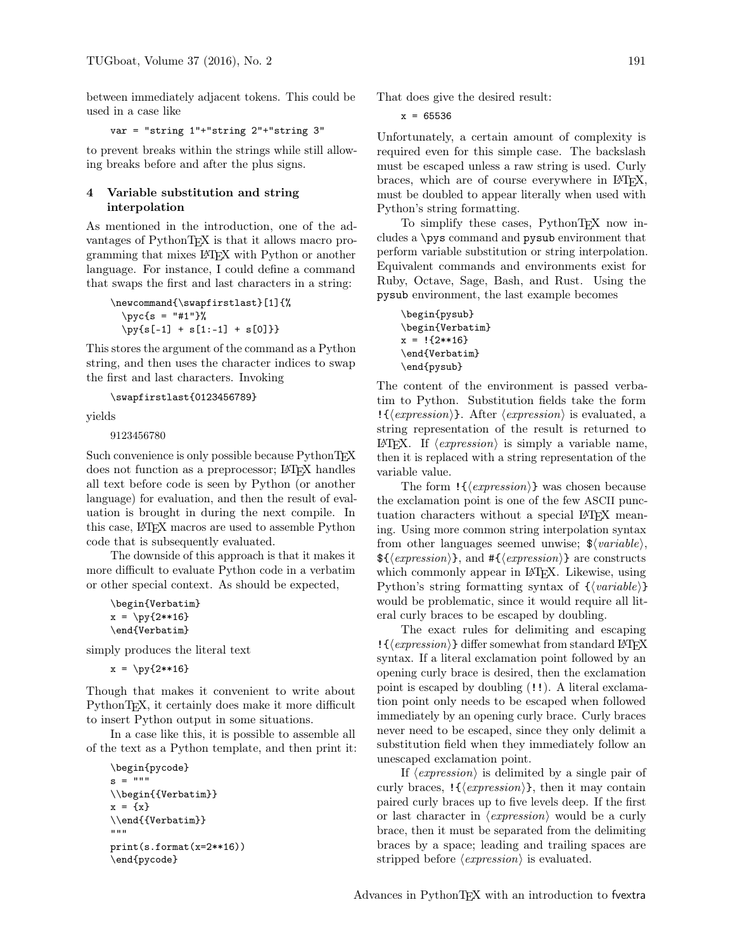between immediately adjacent tokens. This could be used in a case like

var = "string 1"+"string 2"+"string 3"

to prevent breaks within the strings while still allowing breaks before and after the plus signs.

### 4 Variable substitution and string interpolation

As mentioned in the introduction, one of the advantages of PythonT<sub>F</sub>X is that it allows macro programming that mixes LATEX with Python or another language. For instance, I could define a command that swaps the first and last characters in a string:

```
\newcommand{\swapfirstlast}[1]{%
  \pyc{s = "#1" }\py{s[-1] + s[1:-1] + s[0] }
```
This stores the argument of the command as a Python string, and then uses the character indices to swap the first and last characters. Invoking

\swapfirstlast{0123456789}

yields

9123456780

Such convenience is only possible because PythonTFX does not function as a preprocessor; LATEX handles all text before code is seen by Python (or another language) for evaluation, and then the result of evaluation is brought in during the next compile. In this case, LATEX macros are used to assemble Python code that is subsequently evaluated.

The downside of this approach is that it makes it more difficult to evaluate Python code in a verbatim or other special context. As should be expected,

```
\begin{Verbatim}
x = \py{2**16}\end{Verbatim}
```
simply produces the literal text

 $x = \py{2**16}$ 

Though that makes it convenient to write about PythonTEX, it certainly does make it more difficult to insert Python output in some situations.

In a case like this, it is possible to assemble all of the text as a Python template, and then print it:

```
\begin{pycode}
s = """"\\begin{{Verbatim}}
x = \{x\}\\end{{Verbatim}}
"" "
print(s.format(x=2**16))
\end{pycode}
```
That does give the desired result:

 $x = 65536$ 

Unfortunately, a certain amount of complexity is required even for this simple case. The backslash must be escaped unless a raw string is used. Curly braces, which are of course everywhere in LAT<sub>EX</sub>, must be doubled to appear literally when used with Python's string formatting.

To simplify these cases, PythonTFX now includes a \pys command and pysub environment that perform variable substitution or string interpolation. Equivalent commands and environments exist for Ruby, Octave, Sage, Bash, and Rust. Using the pysub environment, the last example becomes

```
\begin{pysub}
\begin{Verbatim}
x = !{2**16}\end{Verbatim}
\end{pysub}
```
The content of the environment is passed verbatim to Python. Substitution fields take the form  $\{\langle expression \rangle\}.$  After  $\langle expression \rangle$  is evaluated, a string representation of the result is returned to LAT<sub>EX</sub>. If  $\langle expression \rangle$  is simply a variable name, then it is replaced with a string representation of the variable value.

The form  $\{\langle expression \rangle\}$  was chosen because the exclamation point is one of the few ASCII punctuation characters without a special LATEX meaning. Using more common string interpolation syntax from other languages seemed unwise;  $\frac{\text{d}}{\text{d}}\left\langle \text{variable} \right\rangle$ ,  ${\Re \langle expression \rangle},$  and  $\#\{\langle expression \rangle\}$  are constructs which commonly appear in LAT<sub>EX</sub>. Likewise, using Python's string formatting syntax of  ${\langle} \langle variable \rangle$ would be problematic, since it would require all literal curly braces to be escaped by doubling.

The exact rules for delimiting and escaping  $\{\langle expression \rangle\}$  differ somewhat from standard LATEX syntax. If a literal exclamation point followed by an opening curly brace is desired, then the exclamation point is escaped by doubling (!!). A literal exclamation point only needs to be escaped when followed immediately by an opening curly brace. Curly braces never need to be escaped, since they only delimit a substitution field when they immediately follow an unescaped exclamation point.

If  $\langle expression \rangle$  is delimited by a single pair of curly braces,  $\{\langle \text{expression} \rangle\}$ , then it may contain paired curly braces up to five levels deep. If the first or last character in  $\langle expression \rangle$  would be a curly brace, then it must be separated from the delimiting braces by a space; leading and trailing spaces are stripped before  $\langle expression \rangle$  is evaluated.